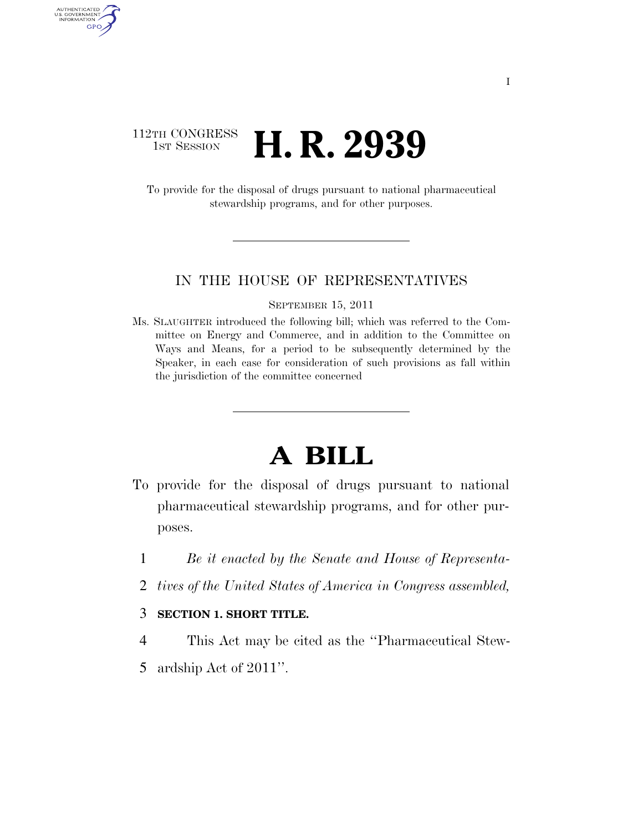### 112TH CONGRESS **1ST SESSION <b>H. R. 2939**

AUTHENTICATED<br>U.S. GOVERNMENT<br>INFORMATION GPO

> To provide for the disposal of drugs pursuant to national pharmaceutical stewardship programs, and for other purposes.

### IN THE HOUSE OF REPRESENTATIVES

#### SEPTEMBER 15, 2011

Ms. SLAUGHTER introduced the following bill; which was referred to the Committee on Energy and Commerce, and in addition to the Committee on Ways and Means, for a period to be subsequently determined by the Speaker, in each case for consideration of such provisions as fall within the jurisdiction of the committee concerned

# **A BILL**

- To provide for the disposal of drugs pursuant to national pharmaceutical stewardship programs, and for other purposes.
	- 1 *Be it enacted by the Senate and House of Representa-*
	- 2 *tives of the United States of America in Congress assembled,*

### 3 **SECTION 1. SHORT TITLE.**

- 4 This Act may be cited as the ''Pharmaceutical Stew-
- 5 ardship Act of 2011''.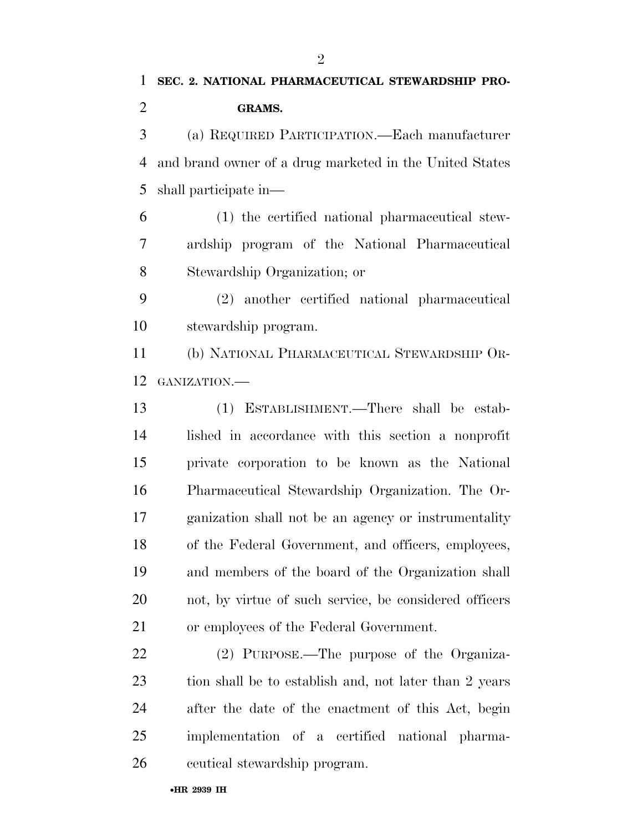$\mathfrak{D}$ 

 (a) REQUIRED PARTICIPATION.—Each manufacturer and brand owner of a drug marketed in the United States shall participate in—

 (1) the certified national pharmaceutical stew- ardship program of the National Pharmaceutical Stewardship Organization; or

 (2) another certified national pharmaceutical stewardship program.

 (b) NATIONAL PHARMACEUTICAL STEWARDSHIP OR-GANIZATION.—

 (1) ESTABLISHMENT.—There shall be estab- lished in accordance with this section a nonprofit private corporation to be known as the National Pharmaceutical Stewardship Organization. The Or- ganization shall not be an agency or instrumentality of the Federal Government, and officers, employees, and members of the board of the Organization shall not, by virtue of such service, be considered officers or employees of the Federal Government.

 (2) PURPOSE.—The purpose of the Organiza-23 tion shall be to establish and, not later than 2 years after the date of the enactment of this Act, begin implementation of a certified national pharma-ceutical stewardship program.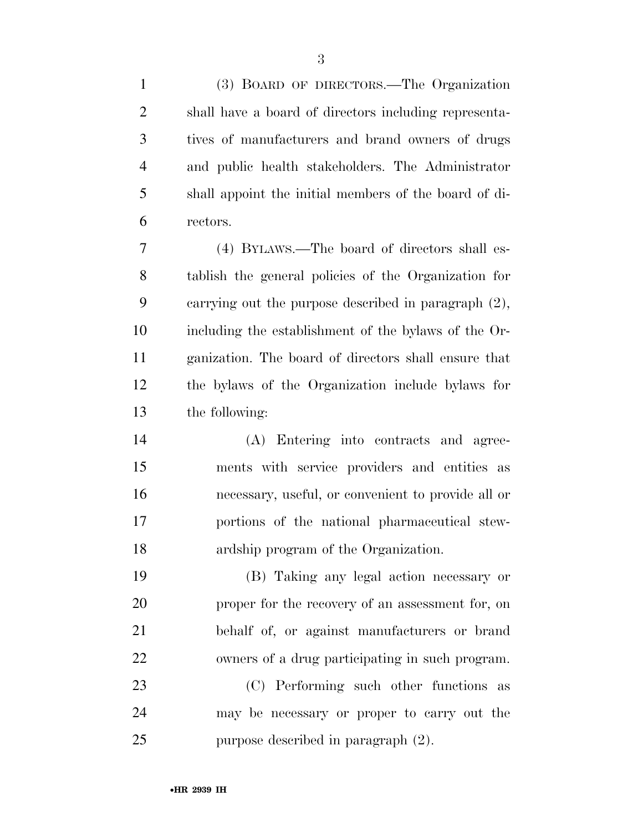| $\mathbf{1}$   | (3) BOARD OF DIRECTORS.—The Organization                |
|----------------|---------------------------------------------------------|
| $\overline{2}$ | shall have a board of directors including representa-   |
| 3              | tives of manufacturers and brand owners of drugs        |
| $\overline{4}$ | and public health stakeholders. The Administrator       |
| 5              | shall appoint the initial members of the board of di-   |
| 6              | rectors.                                                |
| 7              | (4) BYLAWS.—The board of directors shall es-            |
| 8              | tablish the general policies of the Organization for    |
| 9              | carrying out the purpose described in paragraph $(2)$ , |
| 10             | including the establishment of the bylaws of the Or-    |
| 11             | ganization. The board of directors shall ensure that    |
| 12             | the bylaws of the Organization include bylaws for       |
| 13             | the following:                                          |
| 14             | (A) Entering into contracts and agree-                  |
| 15             | ments with service providers and entities as            |
| 16             | necessary, useful, or convenient to provide all or      |
| 17             | portions of the national pharmaceutical stew-           |
| 18             | ardship program of the Organization.                    |
| 19             | (B) Taking any legal action necessary or                |
| 20             | proper for the recovery of an assessment for, on        |
| 21             | behalf of, or against manufacturers or brand            |
| 22             | owners of a drug participating in such program.         |
| 23             | (C) Performing such other functions as                  |
| 24             | may be necessary or proper to carry out the             |
| 25             | purpose described in paragraph (2).                     |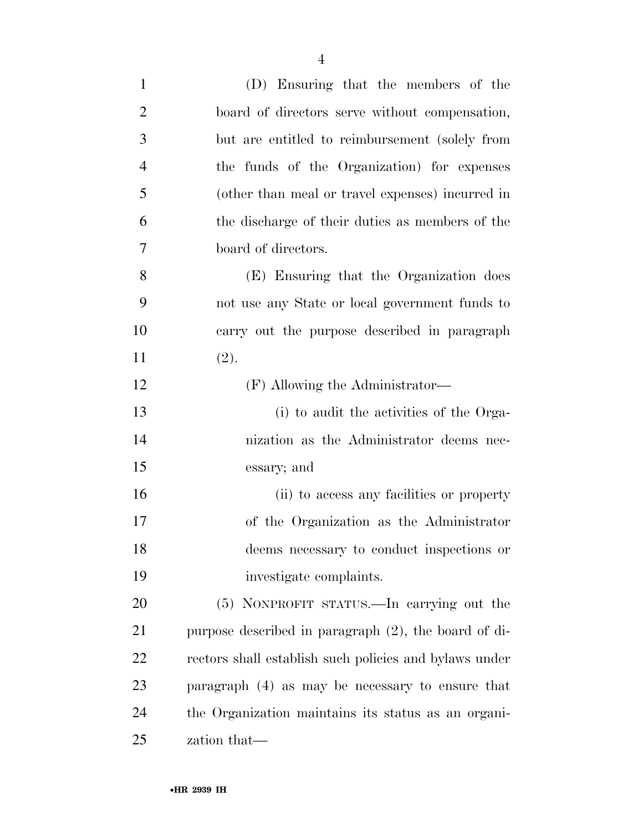| $\mathbf{1}$   | (D) Ensuring that the members of the                    |
|----------------|---------------------------------------------------------|
| $\overline{2}$ | board of directors serve without compensation,          |
| 3              | but are entitled to reimbursement (solely from          |
| $\overline{4}$ | the funds of the Organization) for expenses             |
| 5              | (other than meal or travel expenses) incurred in        |
| 6              | the discharge of their duties as members of the         |
| 7              | board of directors.                                     |
| 8              | (E) Ensuring that the Organization does                 |
| 9              | not use any State or local government funds to          |
| 10             | carry out the purpose described in paragraph            |
| 11             | (2).                                                    |
| 12             | (F) Allowing the Administrator—                         |
| 13             | (i) to audit the activities of the Orga-                |
| 14             | nization as the Administrator deems nec-                |
| 15             | essary; and                                             |
| 16             | (ii) to access any facilities or property               |
| 17             | of the Organization as the Administrator                |
| 18             | deems necessary to conduct inspections or               |
| 19             | investigate complaints.                                 |
| 20             | (5) NONPROFIT STATUS.—In carrying out the               |
| 21             | purpose described in paragraph $(2)$ , the board of di- |
| 22             | rectors shall establish such policies and bylaws under  |
| 23             | paragraph $(4)$ as may be necessary to ensure that      |
| 24             | the Organization maintains its status as an organi-     |
| 25             | zation that—                                            |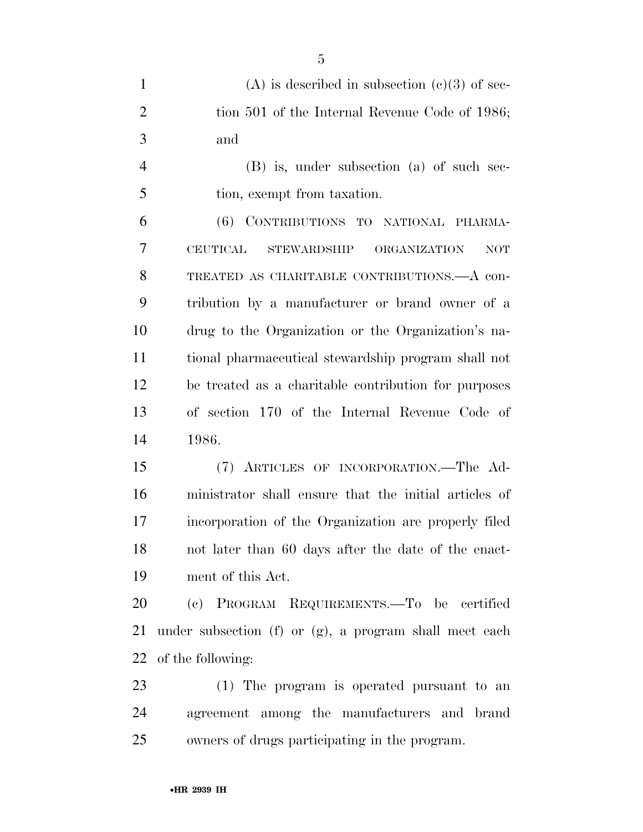| $\mathbf{1}$   | (A) is described in subsection (c)(3) of sec-               |
|----------------|-------------------------------------------------------------|
| $\overline{2}$ | tion 501 of the Internal Revenue Code of 1986;              |
| 3              | and                                                         |
| $\overline{4}$ | (B) is, under subsection (a) of such sec-                   |
| 5              | tion, exempt from taxation.                                 |
| 6              | (6) CONTRIBUTIONS TO NATIONAL PHARMA-                       |
| 7              | <b>CEUTICAL</b><br>STEWARDSHIP ORGANIZATION<br>NOT          |
| 8              | TREATED AS CHARITABLE CONTRIBUTIONS. A con-                 |
| 9              | tribution by a manufacturer or brand owner of a             |
| 10             | drug to the Organization or the Organization's na-          |
| 11             | tional pharmaceutical stewardship program shall not         |
| 12             | be treated as a charitable contribution for purposes        |
| 13             | of section 170 of the Internal Revenue Code of              |
| 14             | 1986.                                                       |
| 15             | (7) ARTICLES OF INCORPORATION.—The Ad-                      |
| 16             | ministrator shall ensure that the initial articles of       |
| 17             | incorporation of the Organization are properly filed        |
| 18             | not later than 60 days after the date of the enact-         |
| 19             | ment of this Act.                                           |
| 20             | (c) PROGRAM REQUIREMENTS.—To be certified                   |
| 21             | under subsection $(f)$ or $(g)$ , a program shall meet each |
| 22             | of the following:                                           |
| 23             | (1) The program is operated pursuant to an                  |
| 24             | agreement among the manufacturers and brand                 |
| 25             | owners of drugs participating in the program.               |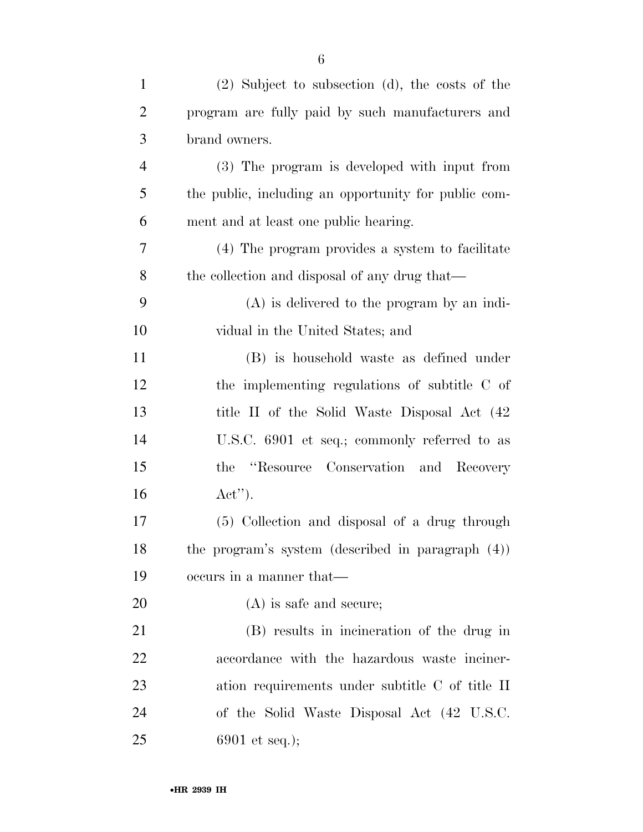| $\mathbf{1}$   | $(2)$ Subject to subsection $(d)$ , the costs of the |
|----------------|------------------------------------------------------|
| $\overline{2}$ | program are fully paid by such manufacturers and     |
| 3              | brand owners.                                        |
| $\overline{4}$ | (3) The program is developed with input from         |
| 5              | the public, including an opportunity for public com- |
| 6              | ment and at least one public hearing.                |
| 7              | (4) The program provides a system to facilitate      |
| 8              | the collection and disposal of any drug that—        |
| 9              | $(A)$ is delivered to the program by an indi-        |
| 10             | vidual in the United States; and                     |
| 11             | (B) is household waste as defined under              |
| 12             | the implementing regulations of subtitle C of        |
| 13             | title II of the Solid Waste Disposal Act (42)        |
| 14             | U.S.C. 6901 et seq.; commonly referred to as         |
| 15             | "Resource Conservation and Recovery"<br>the          |
| 16             | $\text{Act}^{\prime\prime}$ .                        |
| 17             | (5) Collection and disposal of a drug through        |
| 18             | the program's system (described in paragraph (4))    |
| 19             | occurs in a manner that—                             |
| 20             | $(A)$ is safe and secure;                            |
| 21             | (B) results in incineration of the drug in           |
| 22             | accordance with the hazardous waste inciner-         |
| 23             | ation requirements under subtitle C of title II      |
| 24             | of the Solid Waste Disposal Act (42 U.S.C.           |
| 25             | 6901 et seq.);                                       |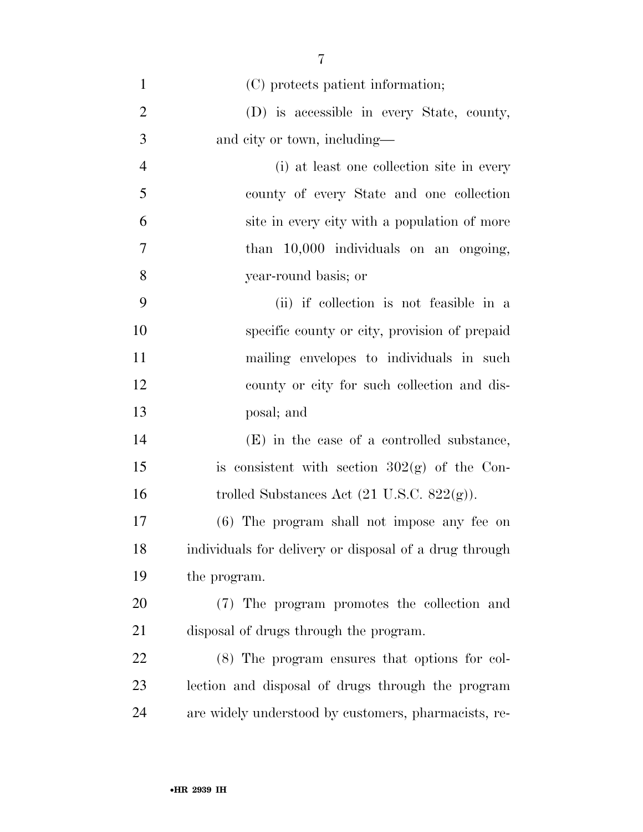| $\mathbf{1}$   | (C) protects patient information;                      |
|----------------|--------------------------------------------------------|
| $\overline{2}$ | (D) is accessible in every State, county,              |
| 3              | and city or town, including—                           |
| $\overline{4}$ | (i) at least one collection site in every              |
| 5              | county of every State and one collection               |
| 6              | site in every city with a population of more           |
| $\overline{7}$ | than $10,000$ individuals on an ongoing,               |
| 8              | year-round basis; or                                   |
| 9              | (ii) if collection is not feasible in a                |
| 10             | specific county or city, provision of prepaid          |
| 11             | mailing envelopes to individuals in such               |
| 12             | county or city for such collection and dis-            |
| 13             | posal; and                                             |
| 14             | (E) in the case of a controlled substance,             |
| 15             | is consistent with section $302(g)$ of the Con-        |
| 16             | trolled Substances Act $(21 \text{ U.S.C. } 822(g))$ . |
| 17             | (6) The program shall not impose any fee on            |
| 18             | individuals for delivery or disposal of a drug through |
| 19             | the program.                                           |
| 20             | (7) The program promotes the collection and            |
| 21             | disposal of drugs through the program.                 |
| 22             | (8) The program ensures that options for col-          |
| 23             | lection and disposal of drugs through the program      |
| 24             | are widely understood by customers, pharmacists, re-   |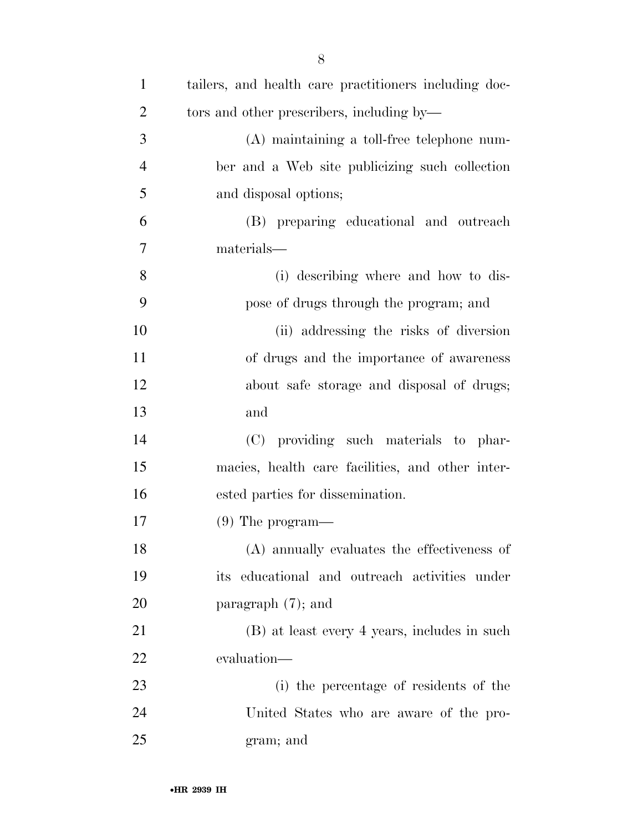| $\mathbf{1}$   | tailers, and health care practitioners including doc- |
|----------------|-------------------------------------------------------|
| $\overline{2}$ | tors and other prescribers, including by—             |
| 3              | (A) maintaining a toll-free telephone num-            |
| $\overline{4}$ | ber and a Web site publicizing such collection        |
| 5              | and disposal options;                                 |
| 6              | (B) preparing educational and outreach                |
| 7              | materials—                                            |
| 8              | (i) describing where and how to dis-                  |
| 9              | pose of drugs through the program; and                |
| 10             | (ii) addressing the risks of diversion                |
| 11             | of drugs and the importance of awareness              |
| 12             | about safe storage and disposal of drugs;             |
| 13             | and                                                   |
| 14             | (C) providing such materials to phar-                 |
| 15             | macies, health care facilities, and other inter-      |
| 16             | ested parties for dissemination.                      |
| 17             | $(9)$ The program—                                    |
| 18             | (A) annually evaluates the effectiveness of           |
| 19             | its educational and outreach activities under         |
| 20             | paragraph $(7)$ ; and                                 |
| 21             | (B) at least every 4 years, includes in such          |
| 22             | evaluation-                                           |
| 23             | (i) the percentage of residents of the                |
| 24             | United States who are aware of the pro-               |
| 25             | gram; and                                             |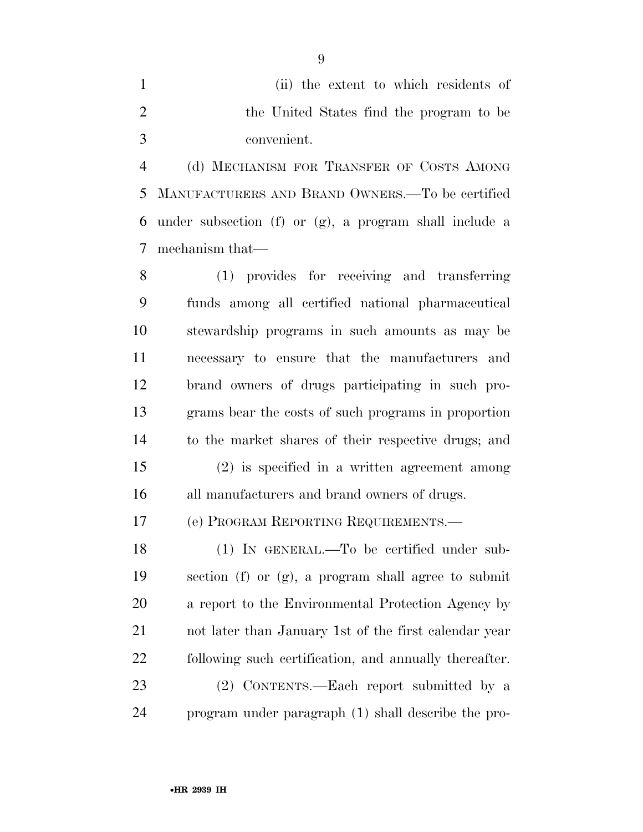(ii) the extent to which residents of the United States find the program to be convenient.

 (d) MECHANISM FOR TRANSFER OF COSTS AMONG MANUFACTURERS AND BRAND OWNERS.—To be certified under subsection (f) or (g), a program shall include a mechanism that—

 (1) provides for receiving and transferring funds among all certified national pharmaceutical stewardship programs in such amounts as may be necessary to ensure that the manufacturers and brand owners of drugs participating in such pro- grams bear the costs of such programs in proportion to the market shares of their respective drugs; and

 (2) is specified in a written agreement among all manufacturers and brand owners of drugs.

(e) PROGRAM REPORTING REQUIREMENTS.—

 (1) IN GENERAL.—To be certified under sub- section (f) or (g), a program shall agree to submit a report to the Environmental Protection Agency by not later than January 1st of the first calendar year following such certification, and annually thereafter. (2) CONTENTS.—Each report submitted by a

program under paragraph (1) shall describe the pro-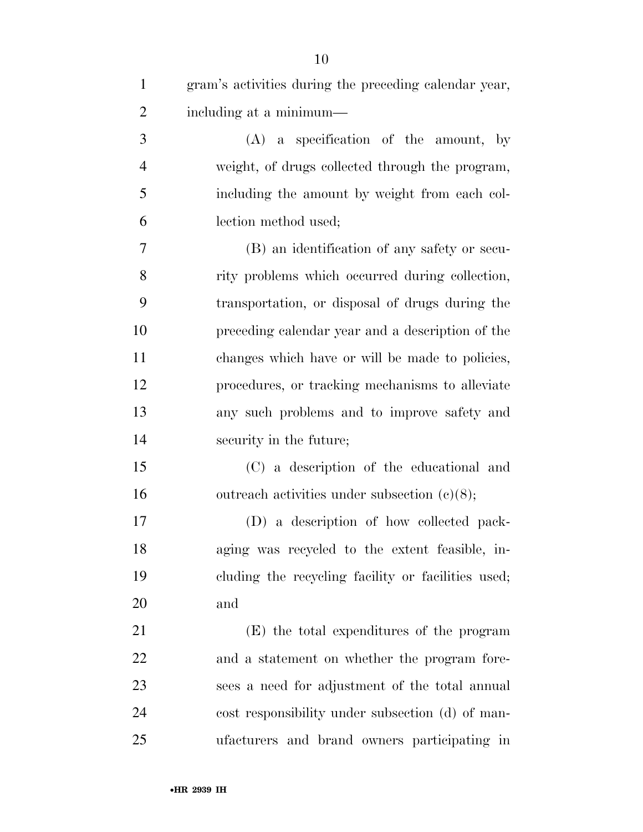| $\mathbf{1}$   | gram's activities during the preceding calendar year, |
|----------------|-------------------------------------------------------|
| $\overline{2}$ | including at a minimum—                               |
| 3              | $(A)$ a specification of the amount, by               |
| $\overline{4}$ | weight, of drugs collected through the program,       |
| 5              | including the amount by weight from each col-         |
| 6              | lection method used;                                  |
| 7              | (B) an identification of any safety or secu-          |
| 8              | rity problems which occurred during collection,       |
| 9              | transportation, or disposal of drugs during the       |
| 10             | preceding calendar year and a description of the      |
| 11             | changes which have or will be made to policies,       |
| 12             | procedures, or tracking mechanisms to alleviate       |
| 13             | any such problems and to improve safety and           |
| 14             | security in the future;                               |
| 15             | (C) a description of the educational and              |
| 16             | outreach activities under subsection $(c)(8)$ ;       |
| 17             | (D) a description of how collected pack-              |
| 18             | aging was recycled to the extent feasible, in-        |
| 19             | cluding the recycling facility or facilities used;    |
| 20             | and                                                   |
| 21             | (E) the total expenditures of the program             |
| 22             | and a statement on whether the program fore-          |
| 23             | sees a need for adjustment of the total annual        |
| 24             | cost responsibility under subsection (d) of man-      |
| 25             | ufacturers and brand owners participating in          |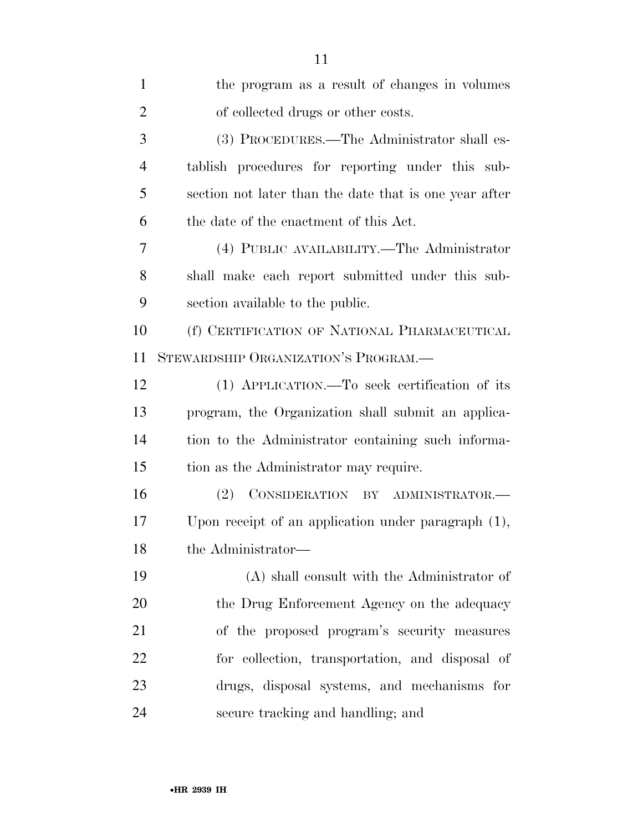| $\mathbf{1}$   | the program as a result of changes in volumes          |
|----------------|--------------------------------------------------------|
| $\overline{2}$ | of collected drugs or other costs.                     |
| 3              | (3) PROCEDURES.—The Administrator shall es-            |
| $\overline{4}$ | tablish procedures for reporting under this sub-       |
| 5              | section not later than the date that is one year after |
| 6              | the date of the enactment of this Act.                 |
| 7              | (4) PUBLIC AVAILABILITY.—The Administrator             |
| 8              | shall make each report submitted under this sub-       |
| 9              | section available to the public.                       |
| 10             | (f) CERTIFICATION OF NATIONAL PHARMACEUTICAL           |
| 11             | STEWARDSHIP ORGANIZATION'S PROGRAM.—                   |
| 12             | (1) APPLICATION.—To seek certification of its          |
| 13             | program, the Organization shall submit an applica-     |
| 14             | tion to the Administrator containing such informa-     |
| 15             | tion as the Administrator may require.                 |
| 16             | (2) CONSIDERATION BY ADMINISTRATOR.-                   |
| 17             | Upon receipt of an application under paragraph $(1)$ , |
| 18             | the Administrator—                                     |
| 19             | (A) shall consult with the Administrator of            |
| 20             | the Drug Enforcement Agency on the adequacy            |
| 21             | of the proposed program's security measures            |
| 22             | for collection, transportation, and disposal of        |
| 23             | drugs, disposal systems, and mechanisms for            |
| 24             | secure tracking and handling; and                      |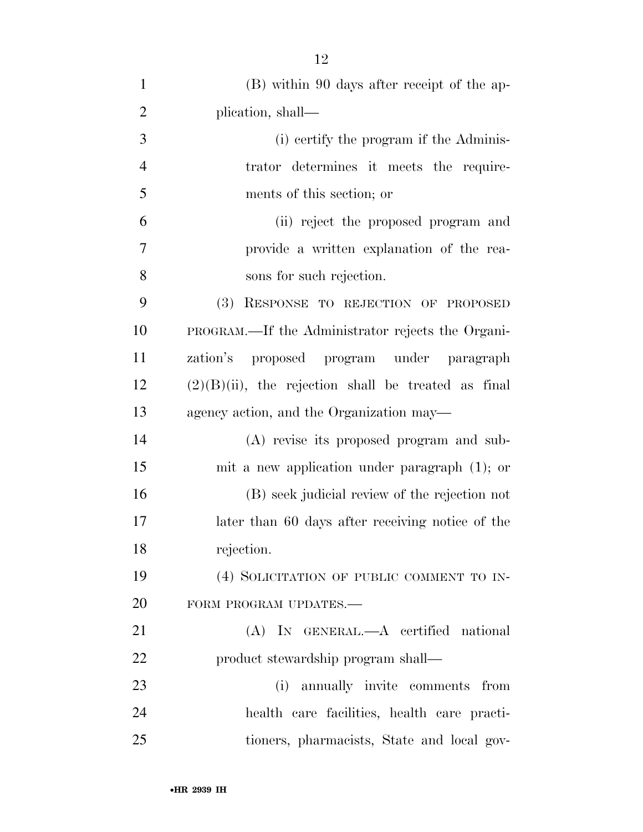| $\mathbf{1}$   | (B) within 90 days after receipt of the ap-            |
|----------------|--------------------------------------------------------|
| $\overline{2}$ | plication, shall—                                      |
| 3              | (i) certify the program if the Adminis-                |
| $\overline{4}$ | trator determines it meets the require-                |
| 5              | ments of this section; or                              |
| 6              | (ii) reject the proposed program and                   |
| 7              | provide a written explanation of the rea-              |
| 8              | sons for such rejection.                               |
| 9              | (3) RESPONSE TO REJECTION OF PROPOSED                  |
| 10             | PROGRAM.—If the Administrator rejects the Organi-      |
| 11             | zation's proposed program under paragraph              |
| 12             | $(2)(B)(ii)$ , the rejection shall be treated as final |
| 13             | agency action, and the Organization may—               |
| 14             | (A) revise its proposed program and sub-               |
| 15             | mit a new application under paragraph $(1)$ ; or       |
| 16             | (B) seek judicial review of the rejection not          |
| 17             | later than 60 days after receiving notice of the       |
| 18             | rejection.                                             |
| 19             | (4) SOLICITATION OF PUBLIC COMMENT TO IN-              |
| 20             | FORM PROGRAM UPDATES.-                                 |
| 21             | (A) IN GENERAL.—A certified national                   |
| 22             | product stewardship program shall-                     |
| 23             | (i) annually invite comments from                      |
| 24             | health care facilities, health care practi-            |
| 25             | tioners, pharmacists, State and local gov-             |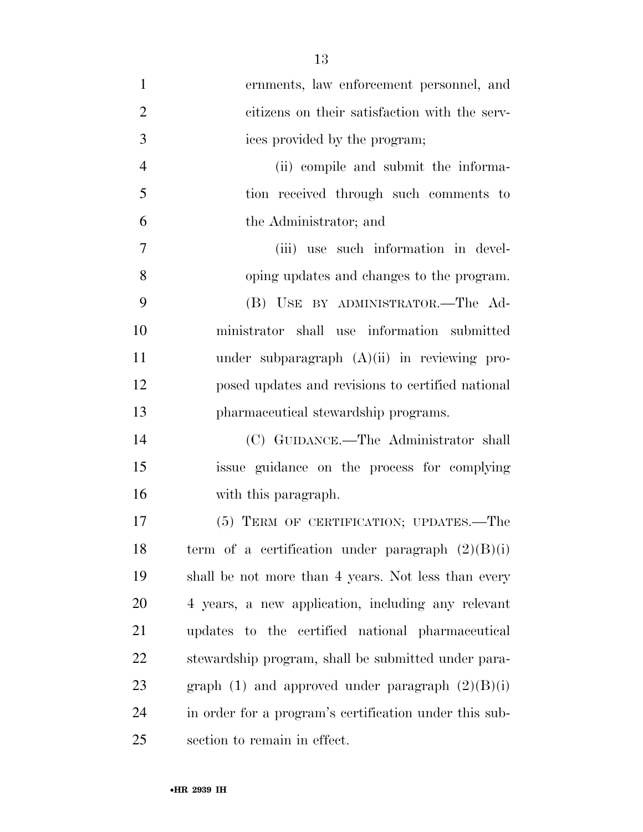| $\mathbf{1}$   | ernments, law enforcement personnel, and               |
|----------------|--------------------------------------------------------|
| $\overline{2}$ | citizens on their satisfaction with the serv-          |
| 3              | ices provided by the program;                          |
| $\overline{4}$ | (ii) compile and submit the informa-                   |
| 5              | tion received through such comments to                 |
| 6              | the Administrator; and                                 |
| $\overline{7}$ | (iii) use such information in devel-                   |
| 8              | oping updates and changes to the program.              |
| 9              | (B) USE BY ADMINISTRATOR.-The Ad-                      |
| 10             | ministrator shall use information submitted            |
| 11             | under subparagraph $(A)(ii)$ in reviewing pro-         |
| 12             | posed updates and revisions to certified national      |
| 13             | pharmaceutical stewardship programs.                   |
| 14             | (C) GUIDANCE.—The Administrator shall                  |
| 15             | issue guidance on the process for complying            |
| 16             | with this paragraph.                                   |
| 17             | (5) TERM OF CERTIFICATION; UPDATES.—The                |
| 18             | term of a certification under paragraph $(2)(B)(i)$    |
| 19             | shall be not more than 4 years. Not less than every    |
| <b>20</b>      | 4 years, a new application, including any relevant     |
| 21             | updates to the certified national pharmaceutical       |
| 22             | stewardship program, shall be submitted under para-    |
| 23             | graph (1) and approved under paragraph $(2)(B)(i)$     |
| 24             | in order for a program's certification under this sub- |
| 25             | section to remain in effect.                           |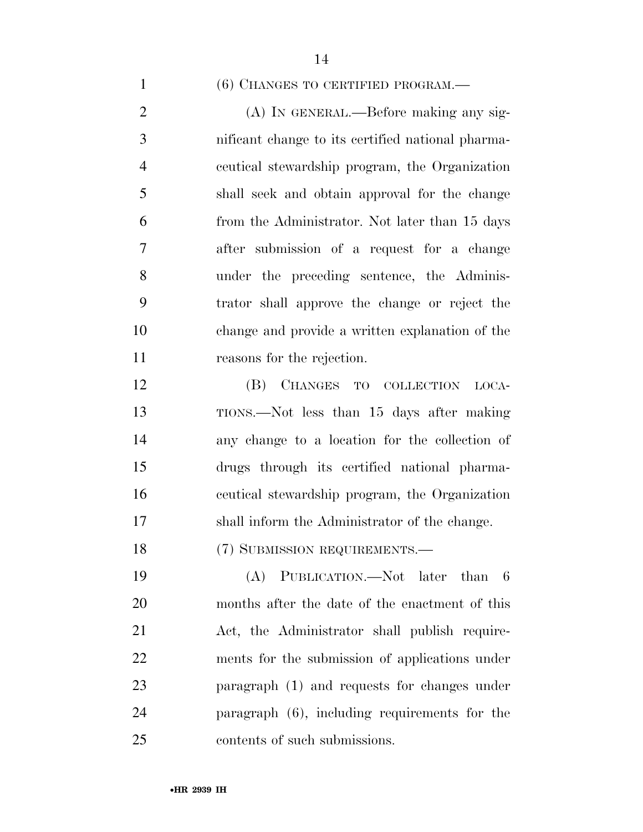### 1 (6) CHANGES TO CERTIFIED PROGRAM.—

 (A) IN GENERAL.—Before making any sig- nificant change to its certified national pharma- ceutical stewardship program, the Organization shall seek and obtain approval for the change from the Administrator. Not later than 15 days after submission of a request for a change under the preceding sentence, the Adminis- trator shall approve the change or reject the change and provide a written explanation of the reasons for the rejection.

 (B) CHANGES TO COLLECTION LOCA- TIONS.—Not less than 15 days after making any change to a location for the collection of drugs through its certified national pharma- ceutical stewardship program, the Organization shall inform the Administrator of the change.

18 (7) SUBMISSION REQUIREMENTS.—

 (A) PUBLICATION.—Not later than 6 months after the date of the enactment of this Act, the Administrator shall publish require- ments for the submission of applications under paragraph (1) and requests for changes under paragraph (6), including requirements for the contents of such submissions.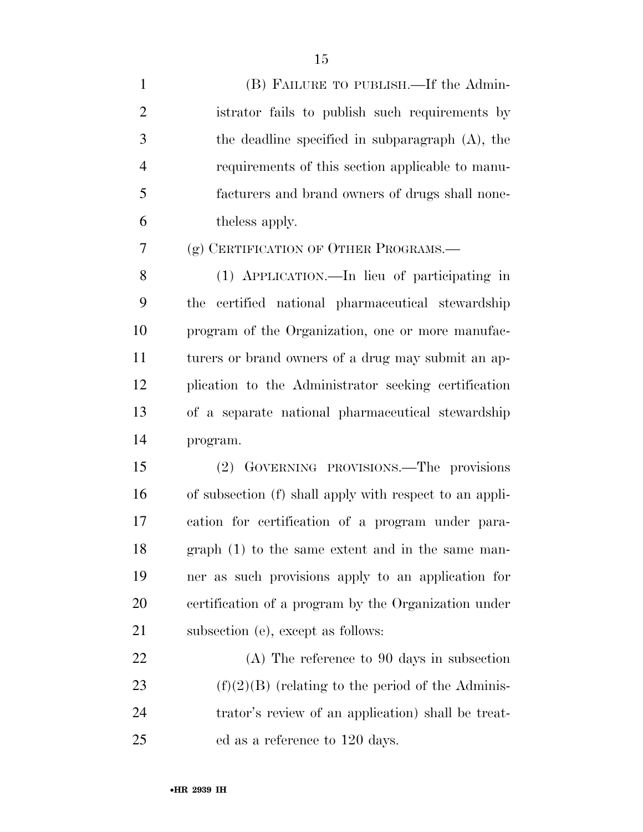| $\mathbf{1}$   | (B) FAILURE TO PUBLISH.—If the Admin-                   |
|----------------|---------------------------------------------------------|
| $\overline{2}$ | istrator fails to publish such requirements by          |
| 3              | the deadline specified in subparagraph $(A)$ , the      |
| $\overline{4}$ | requirements of this section applicable to manu-        |
| 5              | facturers and brand owners of drugs shall none-         |
| 6              | the less apply.                                         |
| $\tau$         | (g) CERTIFICATION OF OTHER PROGRAMS.—                   |
| 8              | (1) APPLICATION.—In lieu of participating in            |
| 9              | certified national pharmaceutical stewardship<br>the    |
| 10             | program of the Organization, one or more manufac-       |
| 11             | turers or brand owners of a drug may submit an ap-      |
| 12             | plication to the Administrator seeking certification    |
| 13             | of a separate national pharmaceutical stewardship       |
| 14             | program.                                                |
| 15             | (2) GOVERNING PROVISIONS.—The provisions                |
| 16             | of subsection (f) shall apply with respect to an appli- |
| 17             | cation for certification of a program under para-       |
| 18             | $graph(1)$ to the same extent and in the same man-      |
| 19             | ner as such provisions apply to an application for      |
| 20             | certification of a program by the Organization under    |
| 21             | subsection (e), except as follows:                      |
| 22             | $(A)$ The reference to 90 days in subsection            |
| 23             | $(f)(2)(B)$ (relating to the period of the Adminis-     |
| 24             | trator's review of an application) shall be treat-      |
| 25             | ed as a reference to 120 days.                          |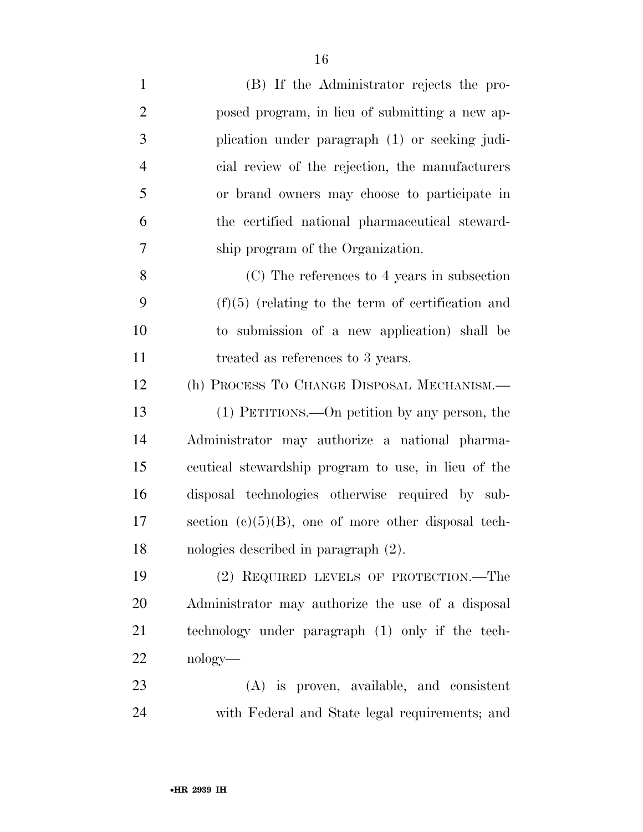| $\mathbf{1}$   | (B) If the Administrator rejects the pro-              |
|----------------|--------------------------------------------------------|
| $\overline{2}$ | posed program, in lieu of submitting a new ap-         |
| 3              | plication under paragraph (1) or seeking judi-         |
| $\overline{4}$ | cial review of the rejection, the manufacturers        |
| 5              | or brand owners may choose to participate in           |
| 6              | the certified national pharmaceutical steward-         |
| 7              | ship program of the Organization.                      |
| 8              | (C) The references to 4 years in subsection            |
| 9              | $(f)(5)$ (relating to the term of certification and    |
| 10             | to submission of a new application) shall be           |
| 11             | treated as references to 3 years.                      |
| 12             | (h) PROCESS TO CHANGE DISPOSAL MECHANISM.-             |
| 13             | (1) PETITIONS.—On petition by any person, the          |
| 14             | Administrator may authorize a national pharma-         |
| 15             | ceutical stewardship program to use, in lieu of the    |
| 16             | disposal technologies otherwise required by sub-       |
| 17             | section $(e)(5)(B)$ , one of more other disposal tech- |
| 18             | nologies described in paragraph $(2)$ .                |
| 19             | (2) REQUIRED LEVELS OF PROTECTION.—The                 |
| 20             | Administrator may authorize the use of a disposal      |
| 21             | technology under paragraph (1) only if the tech-       |
| 22             | nology—                                                |
| 23             | $(A)$ is proven, available, and consistent             |
| 24             | with Federal and State legal requirements; and         |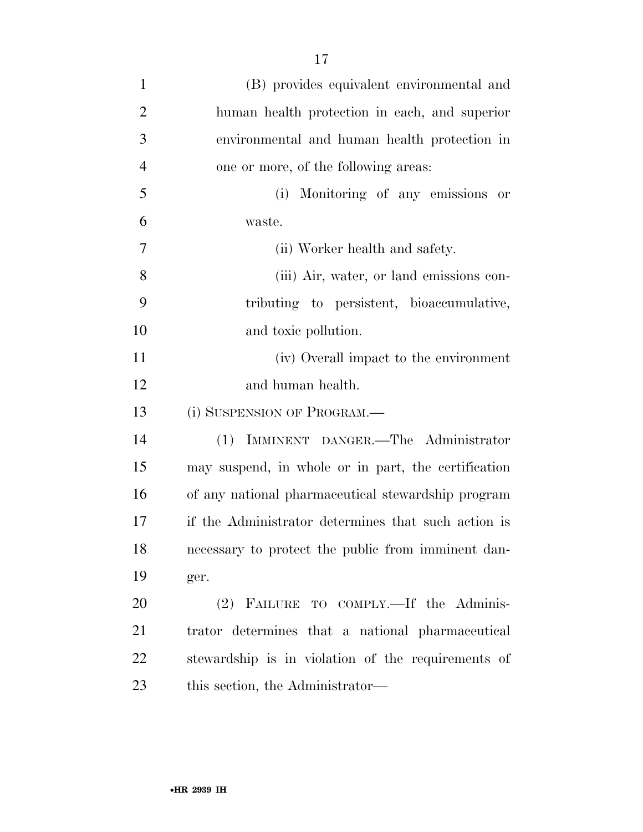| $\mathbf{1}$   | (B) provides equivalent environmental and           |
|----------------|-----------------------------------------------------|
| $\overline{2}$ | human health protection in each, and superior       |
| 3              | environmental and human health protection in        |
| 4              | one or more, of the following areas:                |
| 5              | Monitoring of any emissions or<br>(i)               |
| 6              | waste.                                              |
| $\overline{7}$ | (ii) Worker health and safety.                      |
| 8              | (iii) Air, water, or land emissions con-            |
| 9              | tributing to persistent, bioaccumulative,           |
| 10             | and toxic pollution.                                |
| 11             | (iv) Overall impact to the environment              |
| 12             | and human health.                                   |
| 13             | (i) SUSPENSION OF PROGRAM.—                         |
| 14             | (1) IMMINENT DANGER.-The Administrator              |
| 15             | may suspend, in whole or in part, the certification |
| 16             | of any national pharmaceutical stewardship program  |
| 17             | if the Administrator determines that such action is |
| 18             | necessary to protect the public from imminent dan-  |
| 19             | ger.                                                |
| 20             | (2) FAILURE TO COMPLY.—If the Adminis-              |
| 21             | trator determines that a national pharmaceutical    |
| 22             | stewardship is in violation of the requirements of  |
| 23             | this section, the Administrator—                    |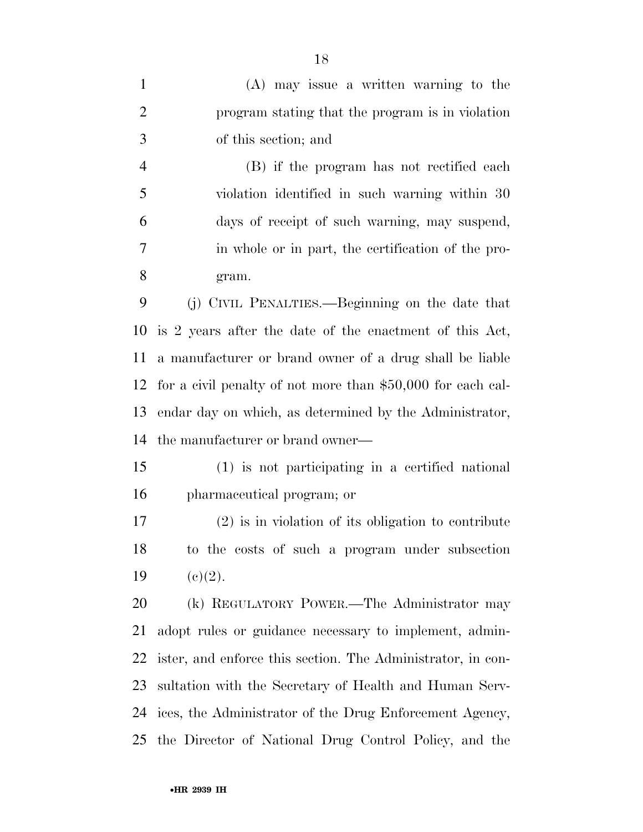(A) may issue a written warning to the program stating that the program is in violation of this section; and (B) if the program has not rectified each violation identified in such warning within 30 days of receipt of such warning, may suspend, in whole or in part, the certification of the pro- gram. (j) CIVIL PENALTIES.—Beginning on the date that is 2 years after the date of the enactment of this Act, a manufacturer or brand owner of a drug shall be liable for a civil penalty of not more than \$50,000 for each cal- endar day on which, as determined by the Administrator, the manufacturer or brand owner— (1) is not participating in a certified national pharmaceutical program; or (2) is in violation of its obligation to contribute to the costs of such a program under subsection 19 (c)(2). (k) REGULATORY POWER.—The Administrator may adopt rules or guidance necessary to implement, admin- ister, and enforce this section. The Administrator, in con- sultation with the Secretary of Health and Human Serv- ices, the Administrator of the Drug Enforcement Agency, the Director of National Drug Control Policy, and the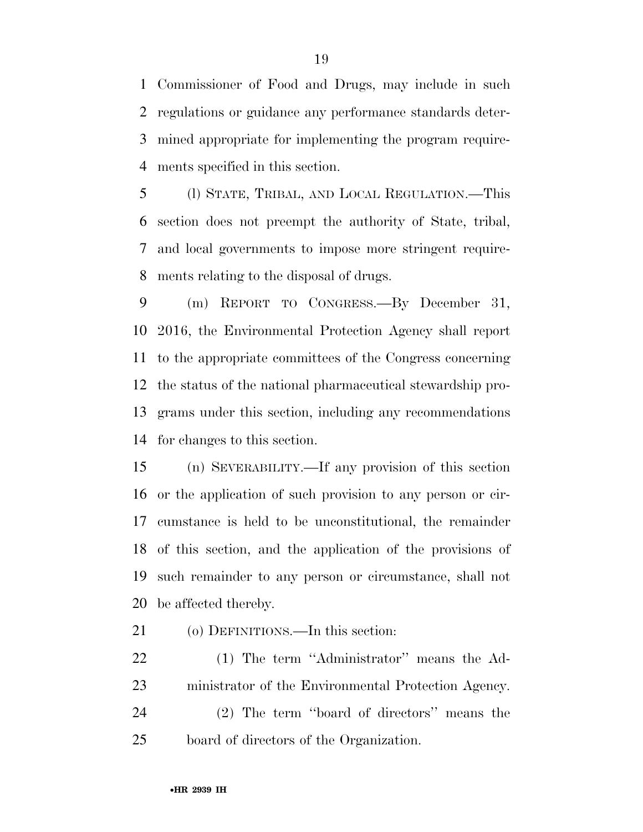Commissioner of Food and Drugs, may include in such regulations or guidance any performance standards deter- mined appropriate for implementing the program require-ments specified in this section.

 (l) STATE, TRIBAL, AND LOCAL REGULATION.—This section does not preempt the authority of State, tribal, and local governments to impose more stringent require-ments relating to the disposal of drugs.

 (m) REPORT TO CONGRESS.—By December 31, 2016, the Environmental Protection Agency shall report to the appropriate committees of the Congress concerning the status of the national pharmaceutical stewardship pro- grams under this section, including any recommendations for changes to this section.

 (n) SEVERABILITY.—If any provision of this section or the application of such provision to any person or cir- cumstance is held to be unconstitutional, the remainder of this section, and the application of the provisions of such remainder to any person or circumstance, shall not be affected thereby.

(o) DEFINITIONS.—In this section:

 (1) The term ''Administrator'' means the Ad- ministrator of the Environmental Protection Agency. (2) The term ''board of directors'' means the board of directors of the Organization.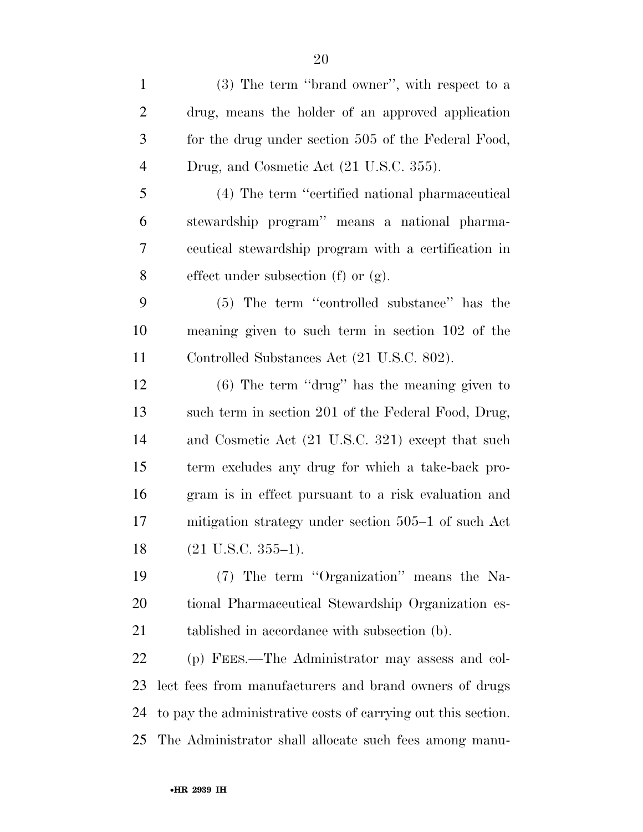(3) The term ''brand owner'', with respect to a drug, means the holder of an approved application for the drug under section 505 of the Federal Food, Drug, and Cosmetic Act (21 U.S.C. 355). (4) The term ''certified national pharmaceutical stewardship program'' means a national pharma- ceutical stewardship program with a certification in effect under subsection (f) or (g). (5) The term ''controlled substance'' has the meaning given to such term in section 102 of the Controlled Substances Act (21 U.S.C. 802).

 (6) The term ''drug'' has the meaning given to such term in section 201 of the Federal Food, Drug, and Cosmetic Act (21 U.S.C. 321) except that such term excludes any drug for which a take-back pro- gram is in effect pursuant to a risk evaluation and mitigation strategy under section 505–1 of such Act (21 U.S.C. 355–1).

 (7) The term ''Organization'' means the Na- tional Pharmaceutical Stewardship Organization es-21 tablished in accordance with subsection (b).

 (p) FEES.—The Administrator may assess and col- lect fees from manufacturers and brand owners of drugs to pay the administrative costs of carrying out this section. The Administrator shall allocate such fees among manu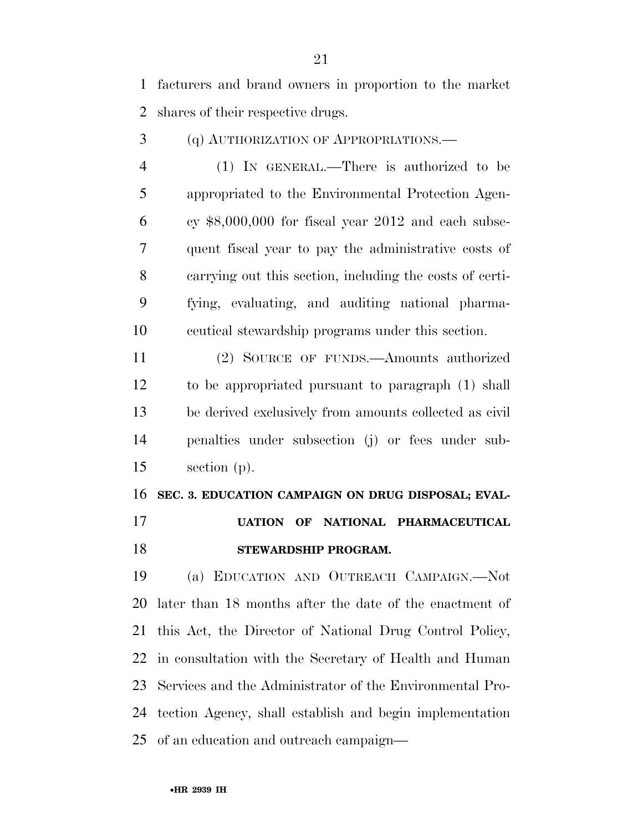facturers and brand owners in proportion to the market shares of their respective drugs.

(q) AUTHORIZATION OF APPROPRIATIONS.—

 (1) IN GENERAL.—There is authorized to be appropriated to the Environmental Protection Agen- $6 \text{$ } cy \$8,000,000 for fiscal year 2012 and each subse- quent fiscal year to pay the administrative costs of carrying out this section, including the costs of certi- fying, evaluating, and auditing national pharma-ceutical stewardship programs under this section.

 (2) SOURCE OF FUNDS.—Amounts authorized to be appropriated pursuant to paragraph (1) shall be derived exclusively from amounts collected as civil penalties under subsection (j) or fees under sub-section (p).

 **SEC. 3. EDUCATION CAMPAIGN ON DRUG DISPOSAL; EVAL- UATION OF NATIONAL PHARMACEUTICAL STEWARDSHIP PROGRAM.** 

 (a) EDUCATION AND OUTREACH CAMPAIGN.—Not later than 18 months after the date of the enactment of this Act, the Director of National Drug Control Policy, in consultation with the Secretary of Health and Human Services and the Administrator of the Environmental Pro- tection Agency, shall establish and begin implementation of an education and outreach campaign—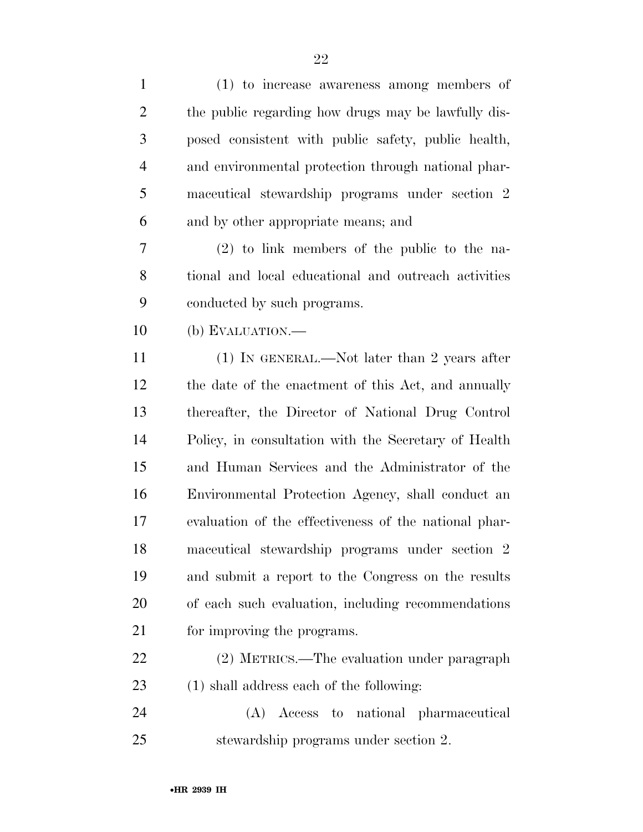| $\mathbf{1}$   | (1) to increase awareness among members of            |
|----------------|-------------------------------------------------------|
| $\overline{2}$ | the public regarding how drugs may be lawfully dis-   |
| 3              | posed consistent with public safety, public health,   |
| $\overline{4}$ | and environmental protection through national phar-   |
| 5              | maceutical stewardship programs under section 2       |
| 6              | and by other appropriate means; and                   |
| 7              | $(2)$ to link members of the public to the na-        |
| 8              | tional and local educational and outreach activities  |
| 9              | conducted by such programs.                           |
| 10             | (b) EVALUATION.—                                      |
| 11             | $(1)$ IN GENERAL.—Not later than 2 years after        |
| 12             | the date of the enactment of this Act, and annually   |
| 13             | thereafter, the Director of National Drug Control     |
| 14             | Policy, in consultation with the Secretary of Health  |
| 15             | and Human Services and the Administrator of the       |
| 16             | Environmental Protection Agency, shall conduct an     |
| 17             | evaluation of the effectiveness of the national phar- |
| 18             | maceutical stewardship programs under section 2       |
| 19             | and submit a report to the Congress on the results    |
| 20             | of each such evaluation, including recommendations    |
| 21             | for improving the programs.                           |
| 22             | (2) METRICS.—The evaluation under paragraph           |
| 23             | (1) shall address each of the following:              |
| 24             | (A) Access to national pharmaceutical                 |
| 25             | stewardship programs under section 2.                 |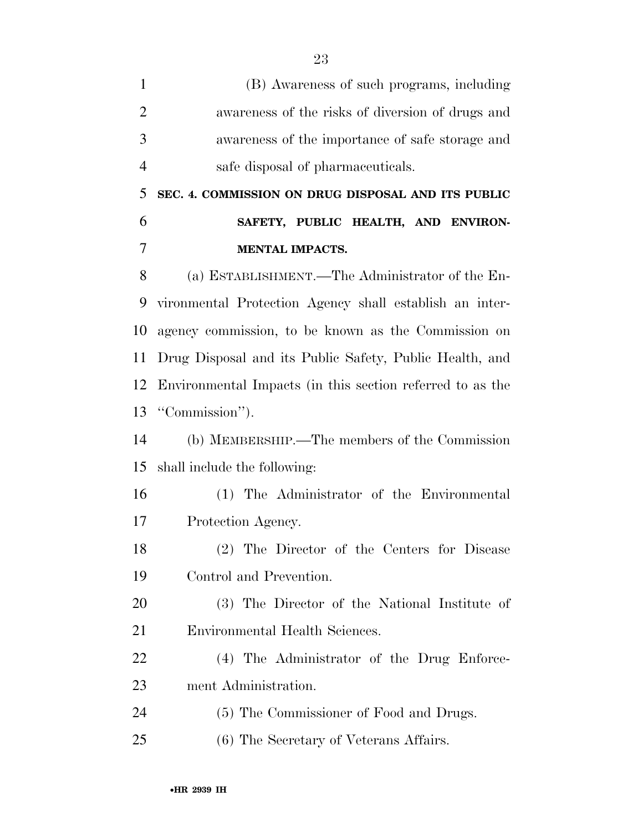| $\mathbf{1}$   | (B) Awareness of such programs, including                 |
|----------------|-----------------------------------------------------------|
| $\overline{2}$ | awareness of the risks of diversion of drugs and          |
| 3              | awareness of the importance of safe storage and           |
| $\overline{4}$ | safe disposal of pharmaceuticals.                         |
| 5              | SEC. 4. COMMISSION ON DRUG DISPOSAL AND ITS PUBLIC        |
| 6              | SAFETY, PUBLIC HEALTH, AND ENVIRON-                       |
| 7              | <b>MENTAL IMPACTS.</b>                                    |
| 8              | (a) ESTABLISHMENT.—The Administrator of the En-           |
| 9              | vironmental Protection Agency shall establish an inter-   |
| 10             | agency commission, to be known as the Commission on       |
| 11             | Drug Disposal and its Public Safety, Public Health, and   |
| 12             | Environmental Impacts (in this section referred to as the |
| 13             | "Commission").                                            |
| 14             | (b) MEMBERSHIP.—The members of the Commission             |
| 15             | shall include the following:                              |
| 16             | (1) The Administrator of the Environmental                |
| 17             | Protection Agency.                                        |
| 18             | (2) The Director of the Centers for Disease               |
| 19             | Control and Prevention.                                   |
| 20             | (3) The Director of the National Institute of             |
| 21             | Environmental Health Sciences.                            |
| 22             | (4) The Administrator of the Drug Enforce-                |
| 23             | ment Administration.                                      |
| 24             | (5) The Commissioner of Food and Drugs.                   |
| 25             | (6) The Secretary of Veterans Affairs.                    |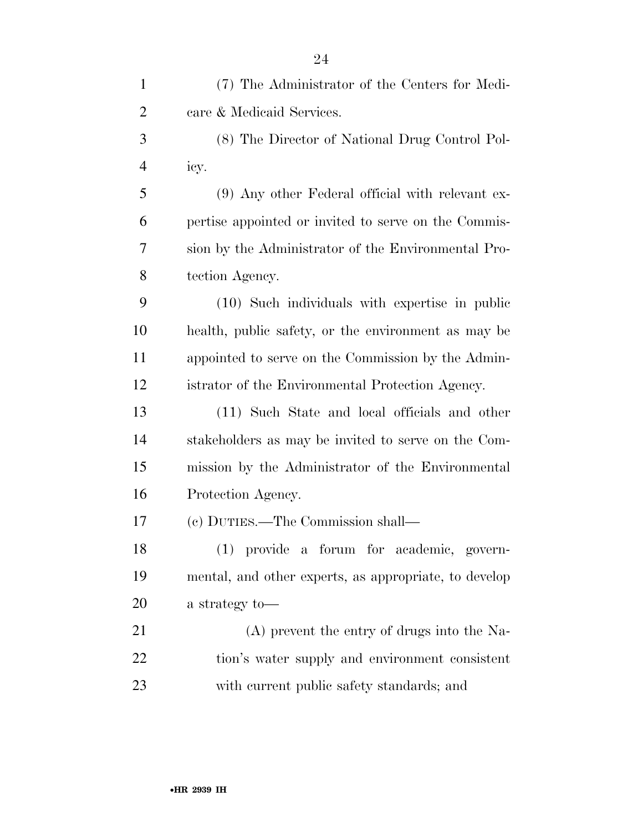| $\mathbf{1}$   | (7) The Administrator of the Centers for Medi-        |
|----------------|-------------------------------------------------------|
| $\overline{2}$ | care & Medicaid Services.                             |
| 3              | (8) The Director of National Drug Control Pol-        |
| $\overline{4}$ | icy.                                                  |
| 5              | (9) Any other Federal official with relevant ex-      |
| 6              | pertise appointed or invited to serve on the Commis-  |
| 7              | sion by the Administrator of the Environmental Pro-   |
| 8              | tection Agency.                                       |
| 9              | (10) Such individuals with expertise in public        |
| 10             | health, public safety, or the environment as may be   |
| 11             | appointed to serve on the Commission by the Admin-    |
| 12             | istrator of the Environmental Protection Agency.      |
| 13             | (11) Such State and local officials and other         |
| 14             | stakeholders as may be invited to serve on the Com-   |
| 15             | mission by the Administrator of the Environmental     |
| 16             | Protection Agency.                                    |
| 17             | (c) DUTIES.—The Commission shall—                     |
| 18             | (1) provide a forum for academic, govern-             |
| 19             | mental, and other experts, as appropriate, to develop |
| 20             | a strategy to-                                        |
| 21             | (A) prevent the entry of drugs into the Na-           |
| 22             | tion's water supply and environment consistent        |
| 23             | with current public safety standards; and             |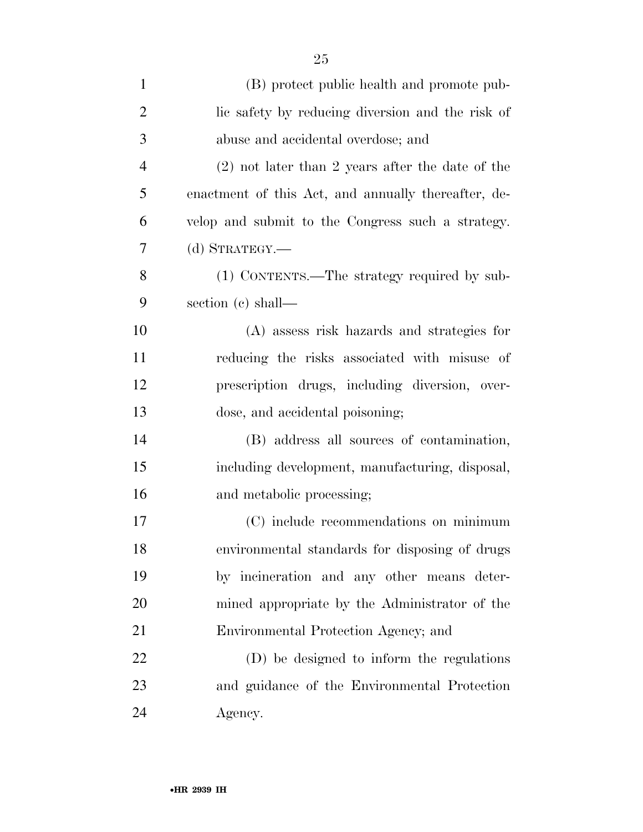| $\mathbf{1}$   | (B) protect public health and promote pub-          |
|----------------|-----------------------------------------------------|
| $\overline{2}$ | lic safety by reducing diversion and the risk of    |
| 3              | abuse and accidental overdose; and                  |
| $\overline{4}$ | $(2)$ not later than 2 years after the date of the  |
| 5              | enactment of this Act, and annually thereafter, de- |
| 6              | velop and submit to the Congress such a strategy.   |
| 7              | $(d)$ STRATEGY.—                                    |
| 8              | (1) CONTENTS.—The strategy required by sub-         |
| 9              | section (c) shall—                                  |
| 10             | (A) assess risk hazards and strategies for          |
| 11             | reducing the risks associated with misuse of        |
| 12             | prescription drugs, including diversion, over-      |
| 13             | dose, and accidental poisoning;                     |
| 14             | (B) address all sources of contamination,           |
| 15             | including development, manufacturing, disposal,     |
| 16             | and metabolic processing;                           |
| 17             | (C) include recommendations on minimum              |
| 18             | environmental standards for disposing of drugs      |
| 19             | by incineration and any other means deter-          |
| 20             | mined appropriate by the Administrator of the       |
| 21             | Environmental Protection Agency; and                |
| 22             | (D) be designed to inform the regulations           |
| 23             | and guidance of the Environmental Protection        |
| 24             | Agency.                                             |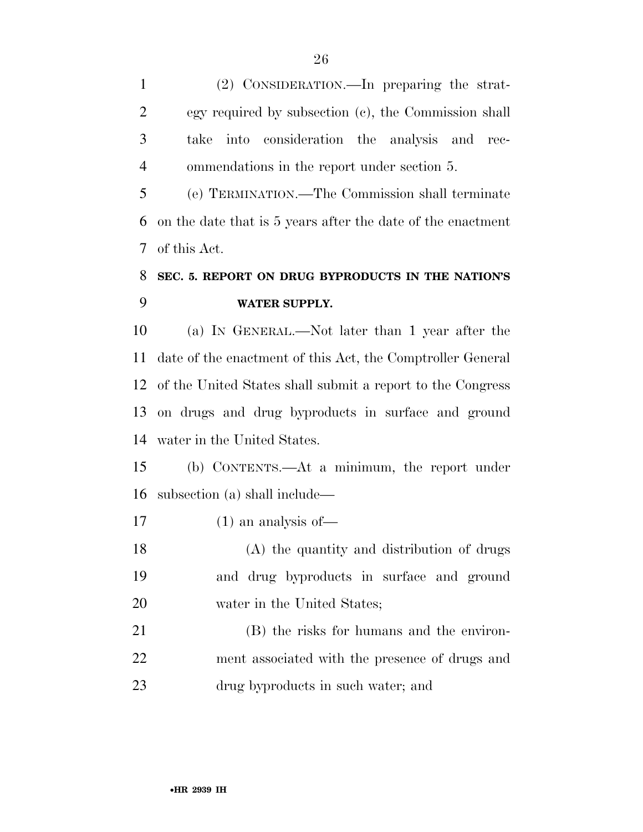(2) CONSIDERATION.—In preparing the strat- egy required by subsection (c), the Commission shall take into consideration the analysis and rec-ommendations in the report under section 5.

 (e) TERMINATION.—The Commission shall terminate on the date that is 5 years after the date of the enactment of this Act.

## **SEC. 5. REPORT ON DRUG BYPRODUCTS IN THE NATION'S WATER SUPPLY.**

 (a) IN GENERAL.—Not later than 1 year after the date of the enactment of this Act, the Comptroller General of the United States shall submit a report to the Congress on drugs and drug byproducts in surface and ground water in the United States.

 (b) CONTENTS.—At a minimum, the report under subsection (a) shall include—

(1) an analysis of—

 (A) the quantity and distribution of drugs and drug byproducts in surface and ground water in the United States;

 (B) the risks for humans and the environ- ment associated with the presence of drugs and drug byproducts in such water; and